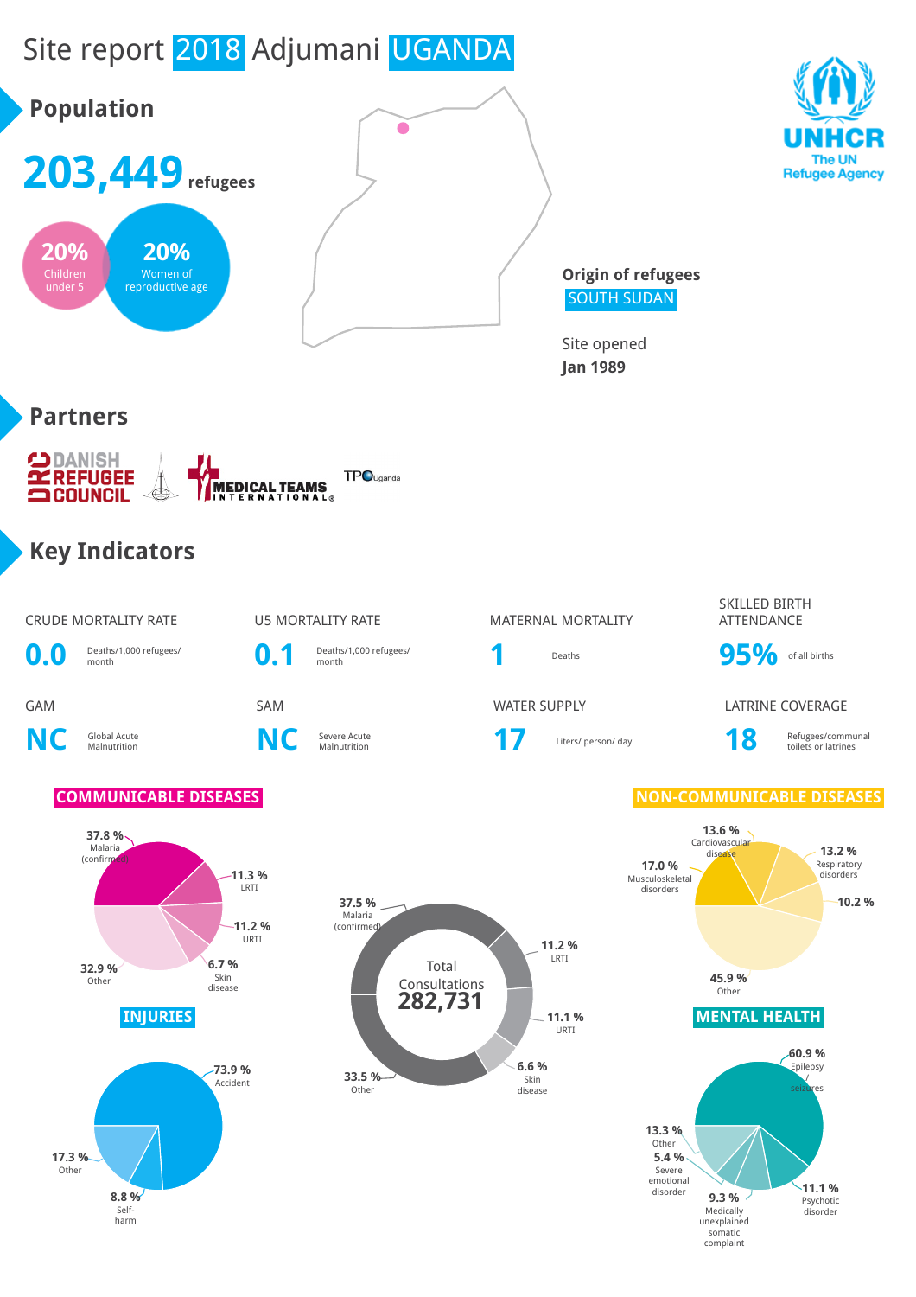# Site report 2018 Adjumani UGANDA

**8.8 %** Selfharm

Other



**11.1 %** Psychotic disorder

**9.3 %** Medically unexplained somatic complaint

Severe emotional disorder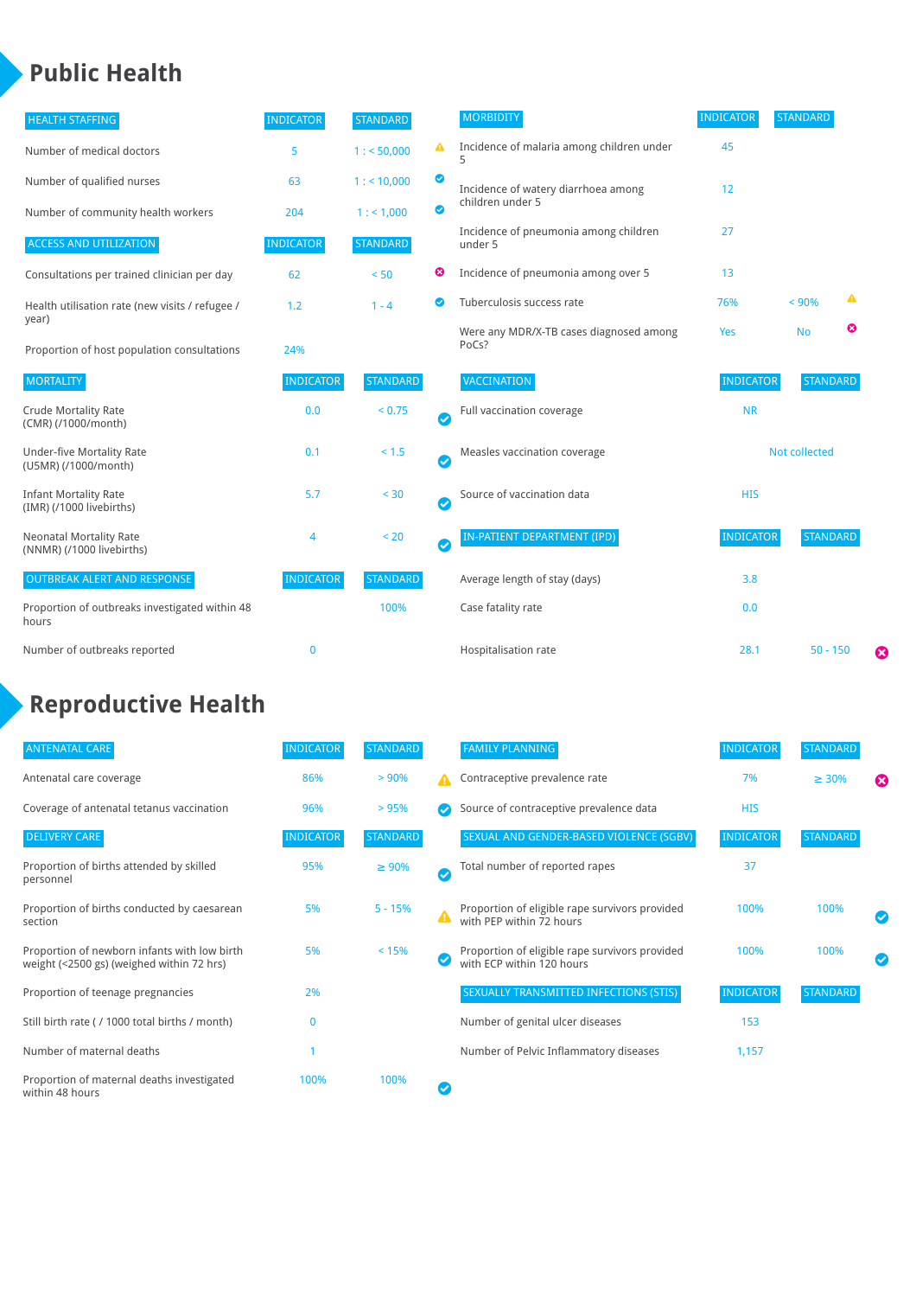## **Public Health**

| <b>HEALTH STAFFING</b>                                      | <b>INDICATOR</b> | <b>STANDARD</b> |           | <b>MORBIDITY</b>                                 | <b>INDICATOR</b> | <b>STANDARD</b> |   |   |
|-------------------------------------------------------------|------------------|-----------------|-----------|--------------------------------------------------|------------------|-----------------|---|---|
| Number of medical doctors                                   | 5                | 1: 50,000       | ▲         | Incidence of malaria among children under<br>5   | 45               |                 |   |   |
| Number of qualified nurses                                  | 63               | 1:10,000        | ◙         | Incidence of watery diarrhoea among              | 12               |                 |   |   |
| Number of community health workers                          | 204              | 1: 1,000        | ◙         | children under 5                                 |                  |                 |   |   |
| <b>ACCESS AND UTILIZATION</b>                               | <b>INDICATOR</b> | <b>STANDARD</b> |           | Incidence of pneumonia among children<br>under 5 | 27               |                 |   |   |
| Consultations per trained clinician per day                 | 62               | < 50            | ☺         | Incidence of pneumonia among over 5              | 13               |                 |   |   |
| Health utilisation rate (new visits / refugee /             | 1.2              | $1 - 4$         | Ø         | Tuberculosis success rate                        | 76%              | < 90%           | ▲ |   |
| year)<br>Proportion of host population consultations        | 24%              |                 |           | Were any MDR/X-TB cases diagnosed among<br>PoCs? | Yes              | <b>No</b>       | ☺ |   |
| <b>MORTALITY</b>                                            | <b>INDICATOR</b> | <b>STANDARD</b> |           | <b>VACCINATION</b>                               | <b>INDICATOR</b> | <b>STANDARD</b> |   |   |
| <b>Crude Mortality Rate</b><br>(CMR) (/1000/month)          | 0.0              | < 0.75          | $\bullet$ | Full vaccination coverage                        | <b>NR</b>        |                 |   |   |
| <b>Under-five Mortality Rate</b><br>(U5MR) (/1000/month)    | 0.1              | < 1.5           | Ø         | Measles vaccination coverage                     | Not collected    |                 |   |   |
| <b>Infant Mortality Rate</b><br>(IMR) (/1000 livebirths)    | 5.7              | < 30            | Ø         | Source of vaccination data                       | <b>HIS</b>       |                 |   |   |
| <b>Neonatal Mortality Rate</b><br>(NNMR) (/1000 livebirths) | 4                | < 20            | $\bullet$ | <b>IN-PATIENT DEPARTMENT (IPD)</b>               | <b>INDICATOR</b> | <b>STANDARD</b> |   |   |
| <b>OUTBREAK ALERT AND RESPONSE</b>                          | <b>INDICATOR</b> | <b>STANDARD</b> |           | Average length of stay (days)                    | 3.8              |                 |   |   |
| Proportion of outbreaks investigated within 48<br>hours     |                  | 100%            |           | Case fatality rate                               | 0.0              |                 |   |   |
| Number of outbreaks reported                                | $\mathbf 0$      |                 |           | Hospitalisation rate                             | 28.1             | $50 - 150$      |   | ☺ |

## **Reproductive Health**

| <b>ANTENATAL CARE</b>                                                                     | <b>INDICATOR</b> | <b>STANDARD</b> |                  | <b>FAMILY PLANNING</b>                                                      | <b>INDICATOR</b> | STANDARD        |                       |
|-------------------------------------------------------------------------------------------|------------------|-----------------|------------------|-----------------------------------------------------------------------------|------------------|-----------------|-----------------------|
| Antenatal care coverage                                                                   | 86%              | > 90%           | А                | Contraceptive prevalence rate                                               | 7%               | $\geq 30\%$     | $\boldsymbol{\Omega}$ |
| Coverage of antenatal tetanus vaccination                                                 | 96%              | >95%            |                  | Source of contraceptive prevalence data                                     | <b>HIS</b>       |                 |                       |
| <b>DELIVERY CARE</b>                                                                      | <b>INDICATOR</b> | <b>STANDARD</b> |                  | SEXUAL AND GENDER-BASED VIOLENCE (SGBV)                                     | <b>INDICATOR</b> | <b>STANDARD</b> |                       |
| Proportion of births attended by skilled<br>personnel                                     | 95%              | $\geq 90\%$     | $\bm{\sigma}$    | Total number of reported rapes                                              | 37               |                 |                       |
| Proportion of births conducted by caesarean<br>section                                    | 5%               | $5 - 15%$       | $\blacktriangle$ | Proportion of eligible rape survivors provided<br>with PEP within 72 hours  | 100%             | 100%            | $\bm{\triangledown}$  |
| Proportion of newborn infants with low birth<br>weight (<2500 gs) (weighed within 72 hrs) | 5%               | < 15%           |                  | Proportion of eligible rape survivors provided<br>with ECP within 120 hours | 100%             | 100%            |                       |
| Proportion of teenage pregnancies                                                         | 2%               |                 |                  | SEXUALLY TRANSMITTED INFECTIONS (STIS)                                      | <b>INDICATOR</b> | <b>STANDARD</b> |                       |
| Still birth rate (/1000 total births / month)                                             | 0                |                 |                  | Number of genital ulcer diseases                                            | 153              |                 |                       |
| Number of maternal deaths                                                                 |                  |                 |                  | Number of Pelvic Inflammatory diseases                                      | 1,157            |                 |                       |
| Proportion of maternal deaths investigated<br>within 48 hours                             | 100%             | 100%            |                  |                                                                             |                  |                 |                       |